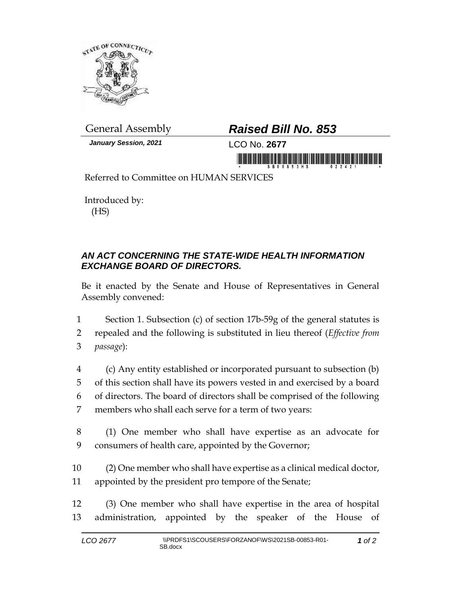

*January Session, 2021* LCO No. **2677**

## General Assembly *Raised Bill No. 853*

in monday is a serial international contract in

Referred to Committee on HUMAN SERVICES

Introduced by: (HS)

## *AN ACT CONCERNING THE STATE-WIDE HEALTH INFORMATION EXCHANGE BOARD OF DIRECTORS.*

Be it enacted by the Senate and House of Representatives in General Assembly convened:

1 Section 1. Subsection (c) of section 17b-59g of the general statutes is 2 repealed and the following is substituted in lieu thereof (*Effective from*  3 *passage*):

- 4 (c) Any entity established or incorporated pursuant to subsection (b) 5 of this section shall have its powers vested in and exercised by a board 6 of directors. The board of directors shall be comprised of the following 7 members who shall each serve for a term of two years:
- 8 (1) One member who shall have expertise as an advocate for 9 consumers of health care, appointed by the Governor;
- 10 (2) One member who shall have expertise as a clinical medical doctor, 11 appointed by the president pro tempore of the Senate;
- 12 (3) One member who shall have expertise in the area of hospital 13 administration, appointed by the speaker of the House of